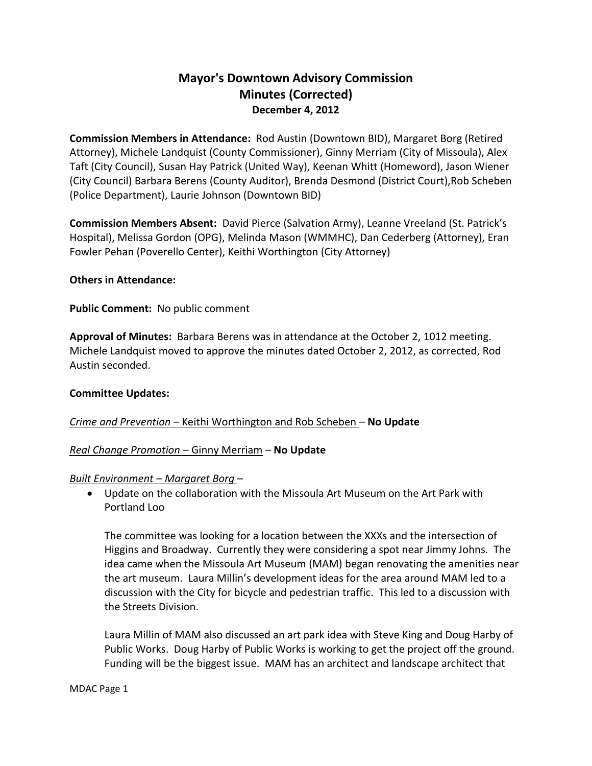# **Mayor's Downtown Advisory Commission Minutes (Corrected) December 4, 2012**

**Commission Members in Attendance:** Rod Austin (Downtown BID), Margaret Borg (Retired Attorney), Michele Landquist (County Commissioner), Ginny Merriam (City of Missoula), Alex Taft (City Council), Susan Hay Patrick (United Way), Keenan Whitt (Homeword), Jason Wiener (City Council) Barbara Berens (County Auditor), Brenda Desmond (District Court),Rob Scheben (Police Department), Laurie Johnson (Downtown BID)

**Commission Members Absent:** David Pierce (Salvation Army), Leanne Vreeland (St. Patrick's Hospital), Melissa Gordon (OPG), Melinda Mason (WMMHC), Dan Cederberg (Attorney), Eran Fowler Pehan (Poverello Center), Keithi Worthington (City Attorney)

### **Others in Attendance:**

## **Public Comment:** No public comment

**Approval of Minutes:** Barbara Berens was in attendance at the October 2, 1012 meeting. Michele Landquist moved to approve the minutes dated October 2, 2012, as corrected, Rod Austin seconded.

### **Committee Updates:**

# *Crime and Prevention –* Keithi Worthington and Rob Scheben – **No Update**

### *Real Change Promotion* – Ginny Merriam – **No Update**

### *Built Environment – Margaret Borg* –

 Update on the collaboration with the Missoula Art Museum on the Art Park with Portland Loo

The committee was looking for a location between the XXXs and the intersection of Higgins and Broadway. Currently they were considering a spot near Jimmy Johns. The idea came when the Missoula Art Museum (MAM) began renovating the amenities near the art museum. Laura Millin's development ideas for the area around MAM led to a discussion with the City for bicycle and pedestrian traffic. This led to a discussion with the Streets Division.

Laura Millin of MAM also discussed an art park idea with Steve King and Doug Harby of Public Works. Doug Harby of Public Works is working to get the project off the ground. Funding will be the biggest issue. MAM has an architect and landscape architect that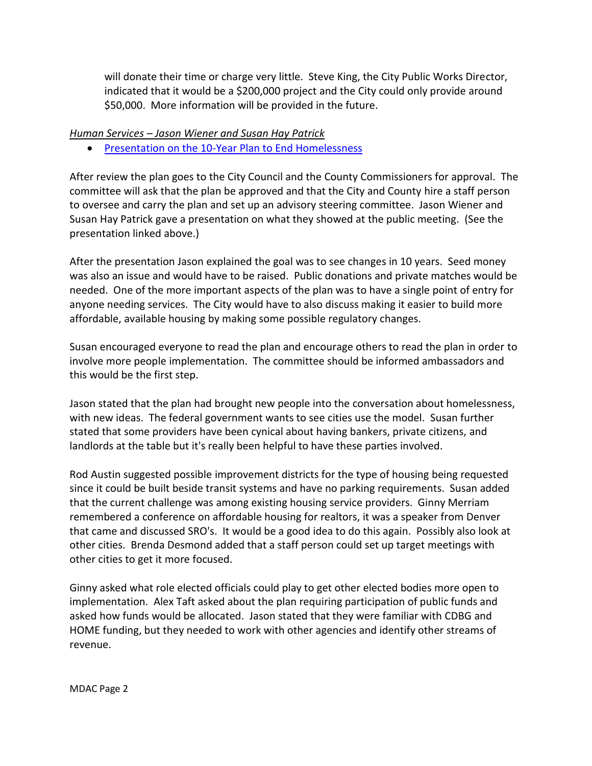will donate their time or charge very little. Steve King, the City Public Works Director, indicated that it would be a \$200,000 project and the City could only provide around \$50,000. More information will be provided in the future.

## *Human Services – Jason Wiener and Susan Hay Patrick*

• [Presentation on the 10-Year Plan to End Homelessness](http://www.ci.missoula.mt.us/DocumentCenter/View/21013)

After review the plan goes to the City Council and the County Commissioners for approval. The committee will ask that the plan be approved and that the City and County hire a staff person to oversee and carry the plan and set up an advisory steering committee. Jason Wiener and Susan Hay Patrick gave a presentation on what they showed at the public meeting. (See the presentation linked above.)

After the presentation Jason explained the goal was to see changes in 10 years. Seed money was also an issue and would have to be raised. Public donations and private matches would be needed. One of the more important aspects of the plan was to have a single point of entry for anyone needing services. The City would have to also discuss making it easier to build more affordable, available housing by making some possible regulatory changes.

Susan encouraged everyone to read the plan and encourage others to read the plan in order to involve more people implementation. The committee should be informed ambassadors and this would be the first step.

Jason stated that the plan had brought new people into the conversation about homelessness, with new ideas. The federal government wants to see cities use the model. Susan further stated that some providers have been cynical about having bankers, private citizens, and landlords at the table but it's really been helpful to have these parties involved.

Rod Austin suggested possible improvement districts for the type of housing being requested since it could be built beside transit systems and have no parking requirements. Susan added that the current challenge was among existing housing service providers. Ginny Merriam remembered a conference on affordable housing for realtors, it was a speaker from Denver that came and discussed SRO's. It would be a good idea to do this again. Possibly also look at other cities. Brenda Desmond added that a staff person could set up target meetings with other cities to get it more focused.

Ginny asked what role elected officials could play to get other elected bodies more open to implementation. Alex Taft asked about the plan requiring participation of public funds and asked how funds would be allocated. Jason stated that they were familiar with CDBG and HOME funding, but they needed to work with other agencies and identify other streams of revenue.